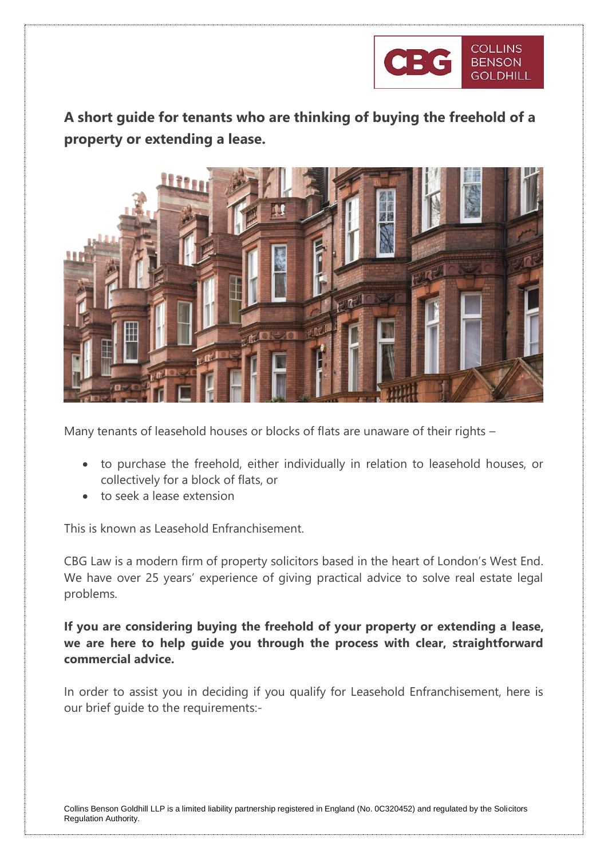

**A short guide for tenants who are thinking of buying the freehold of a property or extending a lease.**



Many tenants of leasehold houses or blocks of flats are unaware of their rights –

- to purchase the freehold, either individually in relation to leasehold houses, or collectively for a block of flats, or
- to seek a lease extension

This is known as Leasehold Enfranchisement.

CBG Law is a modern firm of property solicitors based in the heart of London's West End. We have over 25 years' experience of giving practical advice to solve real estate legal problems.

**If you are considering buying the freehold of your property or extending a lease, we are here to help guide you through the process with clear, straightforward commercial advice.** 

In order to assist you in deciding if you qualify for Leasehold Enfranchisement, here is our brief guide to the requirements:-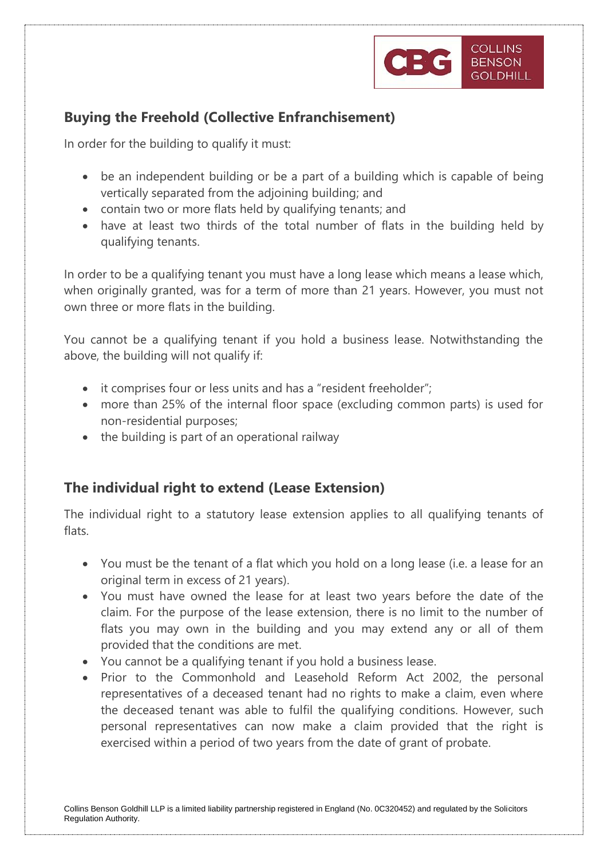

## **Buying the Freehold (Collective Enfranchisement)**

In order for the building to qualify it must:

- be an independent building or be a part of a building which is capable of being vertically separated from the adjoining building; and
- contain two or more flats held by qualifying tenants; and
- have at least two thirds of the total number of flats in the building held by qualifying tenants.

In order to be a qualifying tenant you must have a long lease which means a lease which, when originally granted, was for a term of more than 21 years. However, you must not own three or more flats in the building.

You cannot be a qualifying tenant if you hold a business lease. Notwithstanding the above, the building will not qualify if:

- it comprises four or less units and has a "resident freeholder";
- more than 25% of the internal floor space (excluding common parts) is used for non-residential purposes;
- the building is part of an operational railway

## **The individual right to extend (Lease Extension)**

The individual right to a statutory lease extension applies to all qualifying tenants of flats.

- You must be the tenant of a flat which you hold on a long lease (i.e. a lease for an original term in excess of 21 years).
- You must have owned the lease for at least two years before the date of the claim. For the purpose of the lease extension, there is no limit to the number of flats you may own in the building and you may extend any or all of them provided that the conditions are met.
- You cannot be a qualifying tenant if you hold a business lease.
- Prior to the Commonhold and Leasehold Reform Act 2002, the personal representatives of a deceased tenant had no rights to make a claim, even where the deceased tenant was able to fulfil the qualifying conditions. However, such personal representatives can now make a claim provided that the right is exercised within a period of two years from the date of grant of probate.